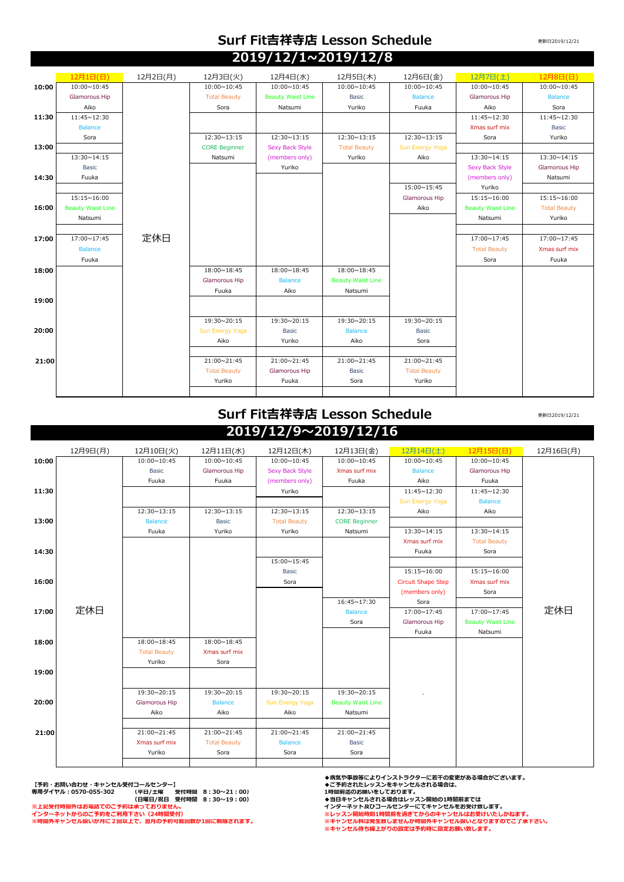## **Surf Fit吉祥寺店 Lesson Schedule 2019/12/1~2019/12/8**

更新日2019/12/21

|       | 12月1日(日)                 | 12月2日(月) | 12月3日(火)             | 12月4日(水)                 | 12月5日(木)                 | 12月6日(金)            | 12月7日(土)                 | 12月8日(日)            |
|-------|--------------------------|----------|----------------------|--------------------------|--------------------------|---------------------|--------------------------|---------------------|
| 10:00 | 10:00~10:45              |          | 10:00~10:45          | 10:00~10:45              | 10:00~10:45              | 10:00~10:45         | 10:00~10:45              | 10:00~10:45         |
|       | Glamorous Hip            |          | <b>Total Beauty</b>  | <b>Beauty Waist Line</b> | <b>Basic</b>             | <b>Balance</b>      | Glamorous Hip            | <b>Balance</b>      |
|       | Aiko                     |          | Sora                 | Natsumi                  | Yuriko                   | Fuuka               | Aiko                     | Sora                |
| 11:30 | 11:45~12:30              |          |                      |                          |                          |                     | 11:45~12:30              | 11:45~12:30         |
|       | <b>Balance</b>           |          |                      |                          |                          |                     | Xmas surf mix            | <b>Basic</b>        |
|       | Sora                     |          | 12:30~13:15          | 12:30~13:15              | 12:30~13:15              | 12:30~13:15         | Sora                     | Yuriko              |
| 13:00 |                          |          | <b>CORE Beginner</b> | <b>Sexy Back Style</b>   | <b>Total Beauty</b>      | Sun Energy Yoga     |                          |                     |
|       | 13:30~14:15              |          | Natsumi              | (members only)           | Yuriko                   | Aiko                | 13:30~14:15              | 13:30~14:15         |
|       | <b>Basic</b>             |          |                      | Yuriko                   |                          |                     | Sexy Back Style          | Glamorous Hip       |
| 14:30 | Fuuka                    |          |                      |                          |                          |                     | (members only)           | Natsumi             |
|       |                          |          |                      |                          |                          | 15:00~15:45         | Yuriko                   |                     |
|       | 15:15~16:00              |          |                      |                          |                          | Glamorous Hip       | 15:15~16:00              | 15:15~16:00         |
| 16:00 | <b>Beauty Waist Line</b> |          |                      |                          |                          | Aiko                | <b>Beauty Waist Line</b> | <b>Total Beauty</b> |
|       | Natsumi                  |          |                      |                          |                          |                     | Natsumi                  | Yuriko              |
|       |                          |          |                      |                          |                          |                     |                          |                     |
| 17:00 | 17:00~17:45              | 定休日      |                      |                          |                          |                     | 17:00~17:45              | 17:00~17:45         |
|       | <b>Balance</b>           |          |                      |                          |                          |                     | <b>Total Beauty</b>      | Xmas surf mix       |
|       | Fuuka                    |          |                      |                          |                          |                     | Sora                     | Fuuka               |
| 18:00 |                          |          | 18:00~18:45          | 18:00~18:45              | 18:00~18:45              |                     |                          |                     |
|       |                          |          | Glamorous Hip        | <b>Balance</b>           | <b>Beauty Waist Line</b> |                     |                          |                     |
|       |                          |          | Fuuka                | Aiko                     | Natsumi                  |                     |                          |                     |
| 19:00 |                          |          |                      |                          |                          |                     |                          |                     |
|       |                          |          |                      |                          |                          |                     |                          |                     |
|       |                          |          | 19:30~20:15          | 19:30~20:15              | 19:30~20:15              | 19:30~20:15         |                          |                     |
| 20:00 |                          |          | Sun Energy Yoga      | <b>Basic</b>             | <b>Balance</b>           | <b>Basic</b>        |                          |                     |
|       |                          |          | Aiko                 | Yuriko                   | Aiko                     | Sora                |                          |                     |
|       |                          |          |                      |                          |                          |                     |                          |                     |
| 21:00 |                          |          | 21:00~21:45          | 21:00~21:45              | 21:00~21:45              | 21:00~21:45         |                          |                     |
|       |                          |          | <b>Total Beauty</b>  | Glamorous Hip            | <b>Basic</b>             | <b>Total Beauty</b> |                          |                     |
|       |                          |          | Yuriko               | Fuuka                    | Sora                     | Yuriko              |                          |                     |
|       |                          |          |                      |                          |                          |                     |                          |                     |

## **Surf Fit吉祥寺店 Lesson Schedule 2019/12/9~2019/12/16**

更新日2019/12/21

|       | 12月9日(月) | 12月10日(火)           | 12月11日(水)           | 12月12日(木)              | 12月13日(金)                | 12月14日(土)                 | 12月15日(日)                | 12月16日(月) |
|-------|----------|---------------------|---------------------|------------------------|--------------------------|---------------------------|--------------------------|-----------|
| 10:00 |          | 10:00~10:45         | 10:00~10:45         | 10:00~10:45            | 10:00~10:45              | 10:00~10:45               | 10:00~10:45              |           |
|       |          | Basic               | Glamorous Hip       | <b>Sexy Back Style</b> | Xmas surf mix            | <b>Balance</b>            | Glamorous Hip            |           |
|       |          | Fuuka               | Fuuka               | (members only)         | Fuuka                    | Aiko                      | Fuuka                    |           |
| 11:30 |          |                     |                     | Yuriko                 |                          | 11:45~12:30               | 11:45~12:30              |           |
|       |          |                     |                     |                        |                          | Sun Energy Yoga           | <b>Balance</b>           |           |
|       |          | 12:30~13:15         | 12:30~13:15         | 12:30~13:15            | 12:30~13:15              | Aiko                      | Aiko                     |           |
| 13:00 |          | <b>Balance</b>      | <b>Basic</b>        | <b>Total Beauty</b>    | <b>CORE Beginner</b>     |                           |                          |           |
|       |          | Fuuka               | Yuriko              | Yuriko                 | Natsumi                  | 13:30~14:15               | 13:30~14:15              |           |
|       |          |                     |                     |                        |                          | Xmas surf mix             | <b>Total Beauty</b>      |           |
| 14:30 |          |                     |                     |                        |                          | Fuuka                     | Sora                     |           |
|       |          |                     |                     | 15:00~15:45            |                          |                           |                          |           |
|       |          |                     |                     | Basic                  |                          | 15:15~16:00               | 15:15~16:00              |           |
| 16:00 |          |                     |                     | Sora                   |                          | <b>Circuit Shape Step</b> | Xmas surf mix            |           |
|       |          |                     |                     |                        |                          | (members only)            | Sora                     |           |
|       |          |                     |                     |                        | 16:45~17:30              | Sora                      |                          |           |
| 17:00 | 定休日      |                     |                     |                        | <b>Balance</b>           | 17:00~17:45               | 17:00~17:45              | 定休日       |
|       |          |                     |                     |                        | Sora                     | Glamorous Hip             | <b>Beauty Waist Line</b> |           |
|       |          |                     |                     |                        |                          | Fuuka                     | Natsumi                  |           |
| 18:00 |          | 18:00~18:45         | 18:00~18:45         |                        |                          |                           |                          |           |
|       |          | <b>Total Beauty</b> | Xmas surf mix       |                        |                          |                           |                          |           |
|       |          | Yuriko              | Sora                |                        |                          |                           |                          |           |
| 19:00 |          |                     |                     |                        |                          |                           |                          |           |
|       |          |                     |                     |                        |                          |                           |                          |           |
|       |          | 19:30~20:15         | 19:30~20:15         | 19:30~20:15            | 19:30~20:15              |                           |                          |           |
| 20:00 |          | Glamorous Hip       | <b>Balance</b>      | Sun Energy Yoga        | <b>Beauty Waist Line</b> |                           |                          |           |
|       |          | Aiko                | Aiko                | Aiko                   | Natsumi                  |                           |                          |           |
|       |          |                     |                     |                        |                          |                           |                          |           |
| 21:00 |          | 21:00~21:45         | 21:00~21:45         | 21:00~21:45            | 21:00~21:45              |                           |                          |           |
|       |          | Xmas surf mix       | <b>Total Beauty</b> | <b>Balance</b>         | <b>Basic</b>             |                           |                          |           |
|       |          | Yuriko              | Sora                | Sora                   | Sora                     |                           |                          |           |
|       |          |                     |                     |                        |                          |                           |                          |           |

【予約・お問い合わせ・キャンセル受付コールセンター】<br>専用ダイヤル:0570-055-302 (平日/土曜 受付時間 8:30~21:00) 1時間前迄のお願いをしております。<br>※上記受付時間外はお電話でのご予約は承っておりません。 30~19:00) ◆当日キャンセルされる場合はレッスン開始の1時間前までは<br>※上記受付時間外はお電話でのご予約は承っておりません。<br>インターネット **専用ダイヤル:0570-055-302** 

◆病気や事故等によりインストラクターに若干の変更がある場合がございます。<br>◆ご予約されたレッスンをキャンセルされる場合は、<br>1時間前迄のお願いをしております。

**※時間外キャンセル扱いが月に2回以上で、翌月の予約可能回数が1回に制限されます。 ※キャンセル料は発生致しませんが時間外キャンセル扱いとなりますのでご了承下さい。 ※キャンセル待ち繰上がりの設定は予約時に設定お願い致します。**